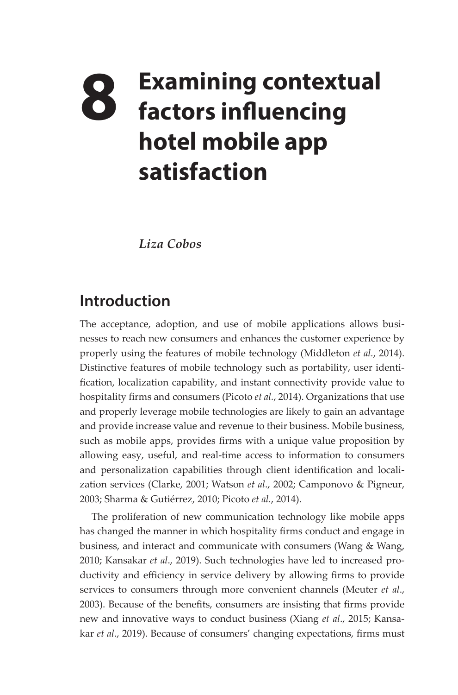# **8 Examining contextual factors influencing hotel mobile app satisfaction**

*Liza Cobos* 

# **Introduction**

The acceptance, adoption, and use of mobile applications allows businesses to reach new consumers and enhances the customer experience by properly using the features of mobile technology (Middleton *et al.*, 2014). Distinctive features of mobile technology such as portability, user identification, localization capability, and instant connectivity provide value to hospitality firms and consumers (Picoto *et al.*, 2014). Organizations that use and properly leverage mobile technologies are likely to gain an advantage and provide increase value and revenue to their business. Mobile business, such as mobile apps, provides firms with a unique value proposition by allowing easy, useful, and real-time access to information to consumers and personalization capabilities through client identification and localization services (Clarke, 2001; Watson *et al*., 2002; Camponovo & Pigneur, 2003; Sharma & Gutiérrez, 2010; Picoto *et al.*, 2014).

The proliferation of new communication technology like mobile apps has changed the manner in which hospitality firms conduct and engage in business, and interact and communicate with consumers (Wang & Wang, 2010; Kansakar *et al*., 2019). Such technologies have led to increased productivity and efficiency in service delivery by allowing firms to provide services to consumers through more convenient channels (Meuter *et al*., 2003). Because of the benefits, consumers are insisting that firms provide new and innovative ways to conduct business (Xiang *et al*., 2015; Kansakar *et al*., 2019). Because of consumers' changing expectations, firms must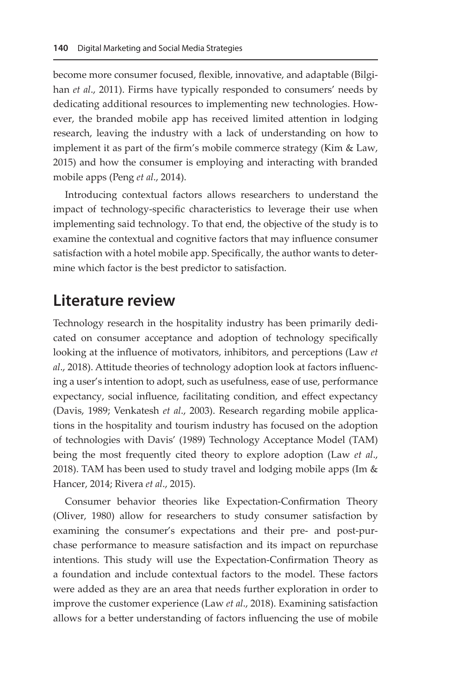become more consumer focused, flexible, innovative, and adaptable (Bilgihan *et al*., 2011). Firms have typically responded to consumers' needs by dedicating additional resources to implementing new technologies. However, the branded mobile app has received limited attention in lodging research, leaving the industry with a lack of understanding on how to implement it as part of the firm's mobile commerce strategy (Kim & Law, 2015) and how the consumer is employing and interacting with branded mobile apps (Peng *et al*., 2014).

Introducing contextual factors allows researchers to understand the impact of technology-specific characteristics to leverage their use when implementing said technology. To that end, the objective of the study is to examine the contextual and cognitive factors that may influence consumer satisfaction with a hotel mobile app. Specifically, the author wants to determine which factor is the best predictor to satisfaction.

# **Literature review**

Technology research in the hospitality industry has been primarily dedicated on consumer acceptance and adoption of technology specifically looking at the influence of motivators, inhibitors, and perceptions (Law *et al*., 2018). Attitude theories of technology adoption look at factors influencing a user's intention to adopt, such as usefulness, ease of use, performance expectancy, social influence, facilitating condition, and effect expectancy (Davis, 1989; Venkatesh *et al*., 2003). Research regarding mobile applications in the hospitality and tourism industry has focused on the adoption of technologies with Davis' (1989) Technology Acceptance Model (TAM) being the most frequently cited theory to explore adoption (Law *et al*., 2018). TAM has been used to study travel and lodging mobile apps (Im  $&$ Hancer, 2014; Rivera *et al*., 2015).

Consumer behavior theories like Expectation-Confirmation Theory (Oliver, 1980) allow for researchers to study consumer satisfaction by examining the consumer's expectations and their pre- and post-purchase performance to measure satisfaction and its impact on repurchase intentions. This study will use the Expectation-Confirmation Theory as a foundation and include contextual factors to the model. These factors were added as they are an area that needs further exploration in order to improve the customer experience (Law *et al*., 2018). Examining satisfaction allows for a better understanding of factors influencing the use of mobile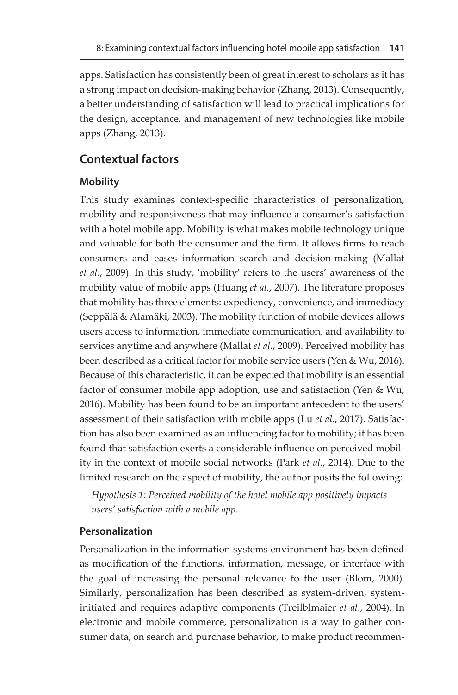apps. Satisfaction has consistently been of great interest to scholars as it has a strong impact on decision-making behavior (Zhang, 2013). Consequently, a better understanding of satisfaction will lead to practical implications for the design, acceptance, and management of new technologies like mobile apps (Zhang, 2013).

## **Contextual factors**

### **Mobility**

This study examines context-specific characteristics of personalization, mobility and responsiveness that may influence a consumer's satisfaction with a hotel mobile app. Mobility is what makes mobile technology unique and valuable for both the consumer and the firm. It allows firms to reach consumers and eases information search and decision-making (Mallat *et al*., 2009). In this study, 'mobility' refers to the users' awareness of the mobility value of mobile apps (Huang *et al*., 2007). The literature proposes that mobility has three elements: expediency, convenience, and immediacy (Seppälä & Alamäki, 2003). The mobility function of mobile devices allows users access to information, immediate communication, and availability to services anytime and anywhere (Mallat *et al*., 2009). Perceived mobility has been described as a critical factor for mobile service users (Yen & Wu, 2016). Because of this characteristic, it can be expected that mobility is an essential factor of consumer mobile app adoption, use and satisfaction (Yen & Wu, 2016). Mobility has been found to be an important antecedent to the users' assessment of their satisfaction with mobile apps (Lu *et al*., 2017). Satisfaction has also been examined as an influencing factor to mobility; it has been found that satisfaction exerts a considerable influence on perceived mobility in the context of mobile social networks (Park *et al*., 2014). Due to the limited research on the aspect of mobility, the author posits the following:

*Hypothesis 1: Perceived mobility of the hotel mobile app positively impacts users' satisfaction with a mobile app.* 

### **Personalization**

Personalization in the information systems environment has been defined as modification of the functions, information, message, or interface with the goal of increasing the personal relevance to the user (Blom, 2000). Similarly, personalization has been described as system-driven, systeminitiated and requires adaptive components (Treilblmaier *et al*., 2004). In electronic and mobile commerce, personalization is a way to gather consumer data, on search and purchase behavior, to make product recommen